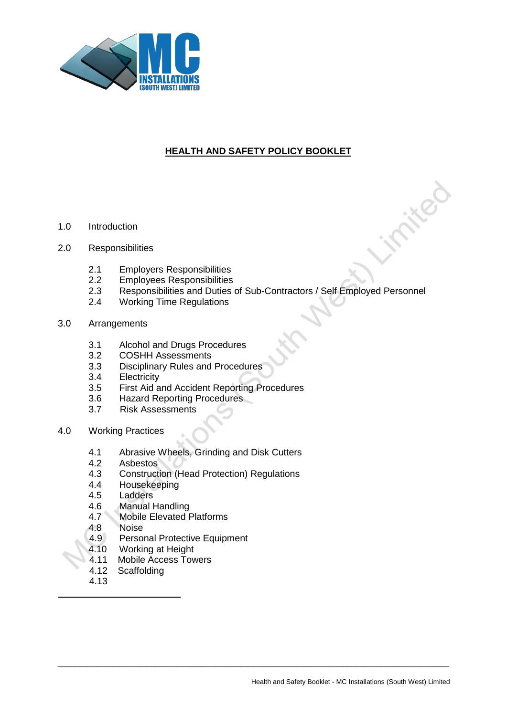

# **HEALTH AND SAFETY POLICY BOOKLET**

- 1.0 Introduction
- 2.0 Responsibilities
	- 2.1 Employers Responsibilities
	- 2.2 Employees Responsibilities<br>2.3 Responsibilities and Duties o
	- 2.3 Responsibilities and Duties of Sub-Contractors / Self Employed Personnel

- 2.4 Working Time Regulations
- 3.0 Arrangements
	- 3.1 Alcohol and Drugs Procedures
	- 3.2 COSHH Assessments
	- 3.3 Disciplinary Rules and Procedures
	- 3.4 Electricity
	- 3.5 First Aid and Accident Reporting Procedures
	- 3.6 Hazard Reporting Procedures
	- 3.7 Risk Assessments
- 4.0 Working Practices
	- 4.1 Abrasive Wheels, Grinding and Disk Cutters<br>4.2 Asbestos
	- 4.2 Asbestos<br>4.3 Construct
	- 4.3 Construction (Head Protection) Regulations
	- 4.4 Housekeeping
	- 4.5 Ladders
	- 4.6 Manual Handling
	- 4.7 Mobile Elevated Platforms
	- 4.8 Noise
	- 4.9 Personal Protective Equipment
	- 4.10 Working at Height
	- 4.11 Mobile Access Towers
	- 4.12 Scaffolding
	- 4.13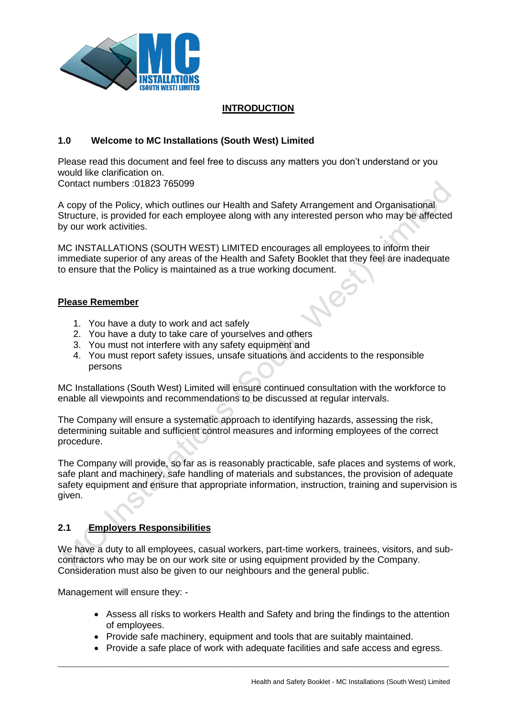

## **INTRODUCTION**

## **1.0 Welcome to MC Installations (South West) Limited**

Please read this document and feel free to discuss any matters you don't understand or you would like clarification on.

Contact numbers :01823 765099

A copy of the Policy, which outlines our Health and Safety Arrangement and Organisational Structure, is provided for each employee along with any interested person who may be affected by our work activities.

MC INSTALLATIONS (SOUTH WEST) LIMITED encourages all employees to inform their immediate superior of any areas of the Health and Safety Booklet that they feel are inadequate to ensure that the Policy is maintained as a true working document.

## **Please Remember**

- 1. You have a duty to work and act safely
- 2. You have a duty to take care of yourselves and others
- 3. You must not interfere with any safety equipment and
- 4. You must report safety issues, unsafe situations and accidents to the responsible persons

MC Installations (South West) Limited will ensure continued consultation with the workforce to enable all viewpoints and recommendations to be discussed at regular intervals.

The Company will ensure a systematic approach to identifying hazards, assessing the risk, determining suitable and sufficient control measures and informing employees of the correct procedure.

The Company will provide, so far as is reasonably practicable, safe places and systems of work, safe plant and machinery, safe handling of materials and substances, the provision of adequate safety equipment and ensure that appropriate information, instruction, training and supervision is given.

## **2.1 Employers Responsibilities**

We have a duty to all employees, casual workers, part-time workers, trainees, visitors, and subcontractors who may be on our work site or using equipment provided by the Company. Consideration must also be given to our neighbours and the general public.

Management will ensure they: -

- Assess all risks to workers Health and Safety and bring the findings to the attention of employees.
- Provide safe machinery, equipment and tools that are suitably maintained.

 $\_$  ,  $\_$  ,  $\_$  ,  $\_$  ,  $\_$  ,  $\_$  ,  $\_$  ,  $\_$  ,  $\_$  ,  $\_$  ,  $\_$  ,  $\_$  ,  $\_$  ,  $\_$  ,  $\_$  ,  $\_$  ,  $\_$  ,  $\_$  ,  $\_$  ,  $\_$  ,  $\_$  ,  $\_$  ,  $\_$  ,  $\_$  ,  $\_$  ,  $\_$  ,  $\_$  ,  $\_$  ,  $\_$  ,  $\_$  ,  $\_$  ,  $\_$  ,  $\_$  ,  $\_$  ,  $\_$  ,  $\_$  ,  $\_$  ,

• Provide a safe place of work with adequate facilities and safe access and egress.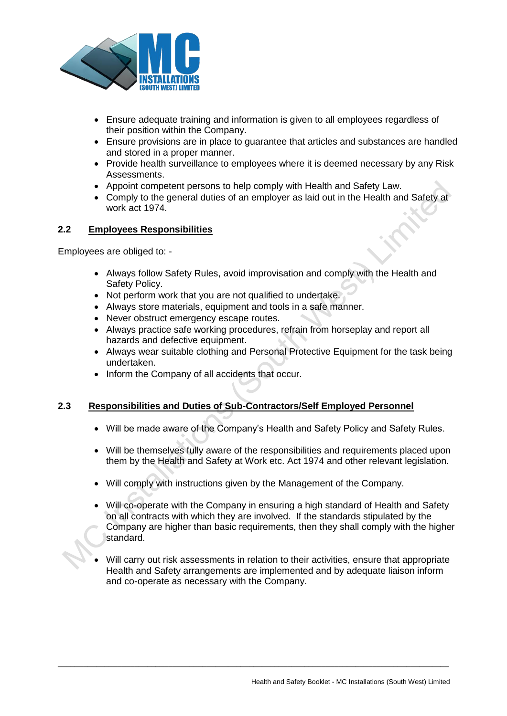

- Ensure adequate training and information is given to all employees regardless of their position within the Company.
- Ensure provisions are in place to guarantee that articles and substances are handled and stored in a proper manner.
- Provide health surveillance to employees where it is deemed necessary by any Risk Assessments.
- Appoint competent persons to help comply with Health and Safety Law.
- Comply to the general duties of an employer as laid out in the Health and Safety at work act 1974.

## **2.2 Employees Responsibilities**

Employees are obliged to: -

- Always follow Safety Rules, avoid improvisation and comply with the Health and Safety Policy.
- Not perform work that you are not qualified to undertake.
- Always store materials, equipment and tools in a safe manner.
- Never obstruct emergency escape routes.
- Always practice safe working procedures, refrain from horseplay and report all hazards and defective equipment.
- Always wear suitable clothing and Personal Protective Equipment for the task being undertaken.
- Inform the Company of all accidents that occur.

## **2.3 Responsibilities and Duties of Sub-Contractors/Self Employed Personnel**

- Will be made aware of the Company's Health and Safety Policy and Safety Rules.
- Will be themselves fully aware of the responsibilities and requirements placed upon them by the Health and Safety at Work etc. Act 1974 and other relevant legislation.
- Will comply with instructions given by the Management of the Company.
- Will co-operate with the Company in ensuring a high standard of Health and Safety on all contracts with which they are involved. If the standards stipulated by the Company are higher than basic requirements, then they shall comply with the higher standard.
- Will carry out risk assessments in relation to their activities, ensure that appropriate Health and Safety arrangements are implemented and by adequate liaison inform and co-operate as necessary with the Company.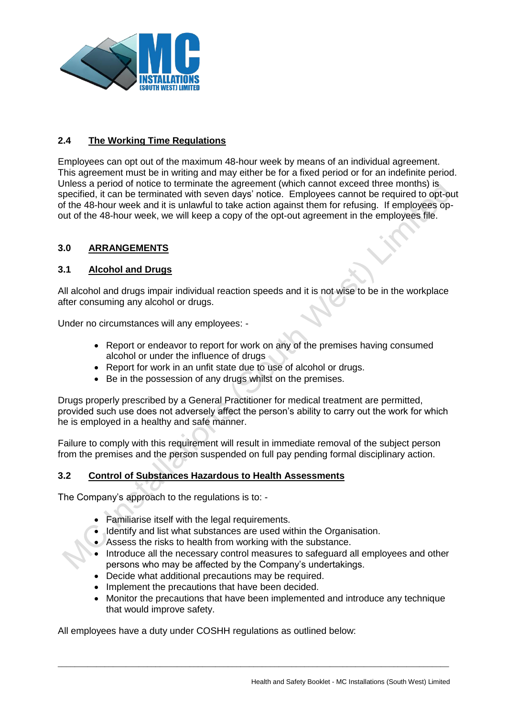

# **2.4 The Working Time Regulations**

Employees can opt out of the maximum 48-hour week by means of an individual agreement. This agreement must be in writing and may either be for a fixed period or for an indefinite period. Unless a period of notice to terminate the agreement (which cannot exceed three months) is specified, it can be terminated with seven days' notice. Employees cannot be required to opt-out of the 48-hour week and it is unlawful to take action against them for refusing. If employees opout of the 48-hour week, we will keep a copy of the opt-out agreement in the employees file.

## **3.0 ARRANGEMENTS**

### **3.1 Alcohol and Drugs**

All alcohol and drugs impair individual reaction speeds and it is not wise to be in the workplace after consuming any alcohol or drugs.

Under no circumstances will any employees: -

- Report or endeavor to report for work on any of the premises having consumed alcohol or under the influence of drugs
- Report for work in an unfit state due to use of alcohol or drugs.
- Be in the possession of any drugs whilst on the premises.

Drugs properly prescribed by a General Practitioner for medical treatment are permitted, provided such use does not adversely affect the person's ability to carry out the work for which he is employed in a healthy and safe manner.

Failure to comply with this requirement will result in immediate removal of the subject person from the premises and the person suspended on full pay pending formal disciplinary action.

### **3.2 Control of Substances Hazardous to Health Assessments**

The Company's approach to the regulations is to: -

- Familiarise itself with the legal requirements.
- Identify and list what substances are used within the Organisation.
- Assess the risks to health from working with the substance.
- Introduce all the necessary control measures to safeguard all employees and other persons who may be affected by the Company's undertakings.
- Decide what additional precautions may be required.
- Implement the precautions that have been decided.
- Monitor the precautions that have been implemented and introduce any technique that would improve safety.

 $\_$  ,  $\_$  ,  $\_$  ,  $\_$  ,  $\_$  ,  $\_$  ,  $\_$  ,  $\_$  ,  $\_$  ,  $\_$  ,  $\_$  ,  $\_$  ,  $\_$  ,  $\_$  ,  $\_$  ,  $\_$  ,  $\_$  ,  $\_$  ,  $\_$  ,  $\_$  ,  $\_$  ,  $\_$  ,  $\_$  ,  $\_$  ,  $\_$  ,  $\_$  ,  $\_$  ,  $\_$  ,  $\_$  ,  $\_$  ,  $\_$  ,  $\_$  ,  $\_$  ,  $\_$  ,  $\_$  ,  $\_$  ,  $\_$  ,

All employees have a duty under COSHH regulations as outlined below: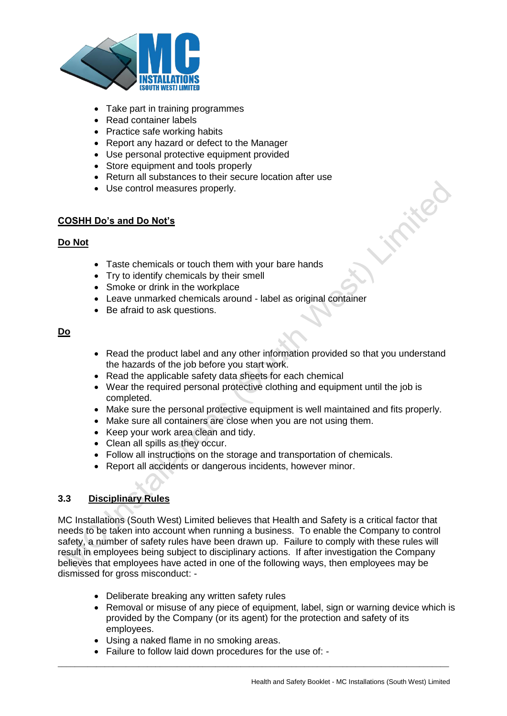

- Take part in training programmes
- Read container labels
- Practice safe working habits
- Report any hazard or defect to the Manager
- Use personal protective equipment provided
- Store equipment and tools properly
- Return all substances to their secure location after use
- Use control measures properly.

## **COSHH Do's and Do Not's**

## **Do Not**

- Taste chemicals or touch them with your bare hands
- Try to identify chemicals by their smell
- Smoke or drink in the workplace
- Leave unmarked chemicals around label as original container
- Be afraid to ask questions.

### **Do**

- Read the product label and any other information provided so that you understand the hazards of the job before you start work.
- Read the applicable safety data sheets for each chemical
- Wear the required personal protective clothing and equipment until the job is completed.
- Make sure the personal protective equipment is well maintained and fits properly.
- Make sure all containers are close when you are not using them.
- Keep your work area clean and tidy.
- Clean all spills as they occur.
- Follow all instructions on the storage and transportation of chemicals.
- Report all accidents or dangerous incidents, however minor.

### **3.3 Disciplinary Rules**

MC Installations (South West) Limited believes that Health and Safety is a critical factor that needs to be taken into account when running a business. To enable the Company to control safety, a number of safety rules have been drawn up. Failure to comply with these rules will result in employees being subject to disciplinary actions. If after investigation the Company believes that employees have acted in one of the following ways, then employees may be dismissed for gross misconduct: -

- Deliberate breaking any written safety rules
- Removal or misuse of any piece of equipment, label, sign or warning device which is provided by the Company (or its agent) for the protection and safety of its employees.
- Using a naked flame in no smoking areas.
- Failure to follow laid down procedures for the use of: -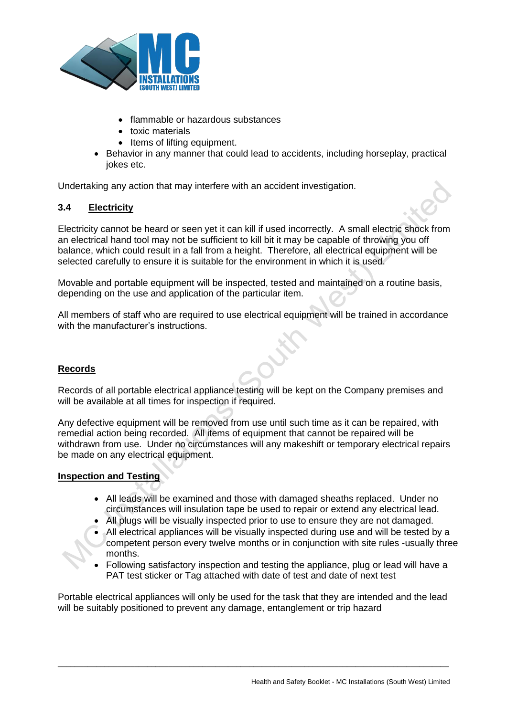

- flammable or hazardous substances
- toxic materials
- Items of lifting equipment.
- Behavior in any manner that could lead to accidents, including horseplay, practical jokes etc.

Undertaking any action that may interfere with an accident investigation.

### **3.4 Electricity**

Electricity cannot be heard or seen yet it can kill if used incorrectly. A small electric shock from an electrical hand tool may not be sufficient to kill bit it may be capable of throwing you off balance, which could result in a fall from a height. Therefore, all electrical equipment will be selected carefully to ensure it is suitable for the environment in which it is used.

Movable and portable equipment will be inspected, tested and maintained on a routine basis, depending on the use and application of the particular item.

All members of staff who are required to use electrical equipment will be trained in accordance with the manufacturer's instructions.

### **Records**

Records of all portable electrical appliance testing will be kept on the Company premises and will be available at all times for inspection if required.

Any defective equipment will be removed from use until such time as it can be repaired, with remedial action being recorded. All items of equipment that cannot be repaired will be withdrawn from use. Under no circumstances will any makeshift or temporary electrical repairs be made on any electrical equipment.

### **Inspection and Testing**

- All leads will be examined and those with damaged sheaths replaced. Under no circumstances will insulation tape be used to repair or extend any electrical lead.
- All plugs will be visually inspected prior to use to ensure they are not damaged.
- All electrical appliances will be visually inspected during use and will be tested by a competent person every twelve months or in conjunction with site rules -usually three months.
- Following satisfactory inspection and testing the appliance, plug or lead will have a PAT test sticker or Tag attached with date of test and date of next test

Portable electrical appliances will only be used for the task that they are intended and the lead will be suitably positioned to prevent any damage, entanglement or trip hazard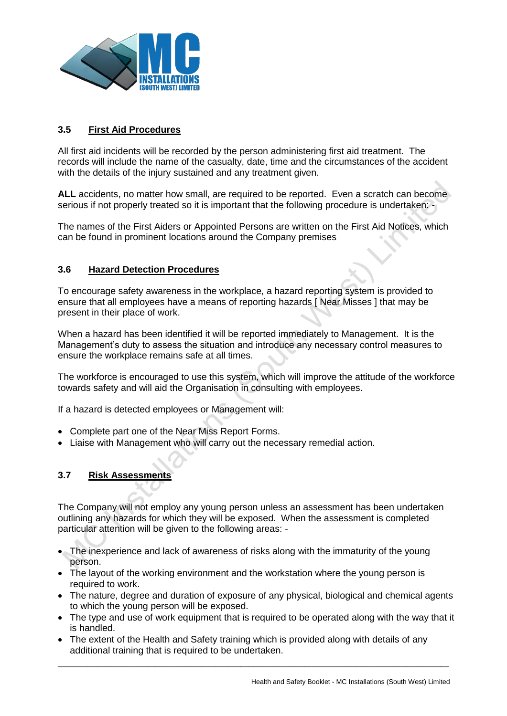

## **3.5 First Aid Procedures**

All first aid incidents will be recorded by the person administering first aid treatment. The records will include the name of the casualty, date, time and the circumstances of the accident with the details of the injury sustained and any treatment given.

ALL accidents, no matter how small, are required to be reported. Even a scratch can become serious if not properly treated so it is important that the following procedure is undertaken: -

The names of the First Aiders or Appointed Persons are written on the First Aid Notices, which can be found in prominent locations around the Company premises

### **3.6 Hazard Detection Procedures**

To encourage safety awareness in the workplace, a hazard reporting system is provided to ensure that all employees have a means of reporting hazards [ Near Misses ] that may be present in their place of work.

When a hazard has been identified it will be reported immediately to Management. It is the Management's duty to assess the situation and introduce any necessary control measures to ensure the workplace remains safe at all times.

The workforce is encouraged to use this system, which will improve the attitude of the workforce towards safety and will aid the Organisation in consulting with employees.

If a hazard is detected employees or Management will:

- Complete part one of the Near Miss Report Forms.
- Liaise with Management who will carry out the necessary remedial action.

## **3.7 Risk Assessments**

The Company will not employ any young person unless an assessment has been undertaken outlining any hazards for which they will be exposed. When the assessment is completed particular attention will be given to the following areas: -

- The inexperience and lack of awareness of risks along with the immaturity of the young person.
- The layout of the working environment and the workstation where the young person is required to work.
- The nature, degree and duration of exposure of any physical, biological and chemical agents to which the young person will be exposed.
- The type and use of work equipment that is required to be operated along with the way that it is handled.

 $\_$  ,  $\_$  ,  $\_$  ,  $\_$  ,  $\_$  ,  $\_$  ,  $\_$  ,  $\_$  ,  $\_$  ,  $\_$  ,  $\_$  ,  $\_$  ,  $\_$  ,  $\_$  ,  $\_$  ,  $\_$  ,  $\_$  ,  $\_$  ,  $\_$  ,  $\_$  ,  $\_$  ,  $\_$  ,  $\_$  ,  $\_$  ,  $\_$  ,  $\_$  ,  $\_$  ,  $\_$  ,  $\_$  ,  $\_$  ,  $\_$  ,  $\_$  ,  $\_$  ,  $\_$  ,  $\_$  ,  $\_$  ,  $\_$  ,

• The extent of the Health and Safety training which is provided along with details of any additional training that is required to be undertaken.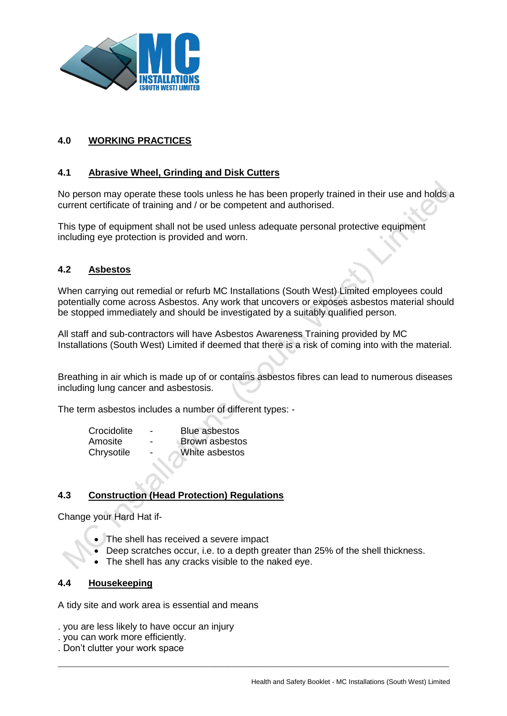

# **4.0 WORKING PRACTICES**

## **4.1 Abrasive Wheel, Grinding and Disk Cutters**

No person may operate these tools unless he has been properly trained in their use and holds a current certificate of training and / or be competent and authorised.

This type of equipment shall not be used unless adequate personal protective equipment including eye protection is provided and worn.

## **4.2 Asbestos**

When carrying out remedial or refurb MC Installations (South West) Limited employees could potentially come across Asbestos. Any work that uncovers or exposes asbestos material should be stopped immediately and should be investigated by a suitably qualified person.

All staff and sub-contractors will have Asbestos Awareness Training provided by MC Installations (South West) Limited if deemed that there is a risk of coming into with the material.

Breathing in air which is made up of or contains asbestos fibres can lead to numerous diseases including lung cancer and asbestosis.

The term asbestos includes a number of different types: -

| Crocidolite | -                        | <b>Blue asbestos</b>  |
|-------------|--------------------------|-----------------------|
| Amosite     | $\overline{\phantom{0}}$ | <b>Brown</b> asbestos |
| Chrysotile  | -                        | White asbestos        |

## **4.3 Construction (Head Protection) Regulations**

Change your Hard Hat if-

- The shell has received a severe impact
- Deep scratches occur, i.e. to a depth greater than 25% of the shell thickness.

 $\_$  ,  $\_$  ,  $\_$  ,  $\_$  ,  $\_$  ,  $\_$  ,  $\_$  ,  $\_$  ,  $\_$  ,  $\_$  ,  $\_$  ,  $\_$  ,  $\_$  ,  $\_$  ,  $\_$  ,  $\_$  ,  $\_$  ,  $\_$  ,  $\_$  ,  $\_$  ,  $\_$  ,  $\_$  ,  $\_$  ,  $\_$  ,  $\_$  ,  $\_$  ,  $\_$  ,  $\_$  ,  $\_$  ,  $\_$  ,  $\_$  ,  $\_$  ,  $\_$  ,  $\_$  ,  $\_$  ,  $\_$  ,  $\_$  ,

The shell has any cracks visible to the naked eye.

#### **4.4 Housekeeping**

A tidy site and work area is essential and means

- . you are less likely to have occur an injury
- . you can work more efficiently.
- . Don't clutter your work space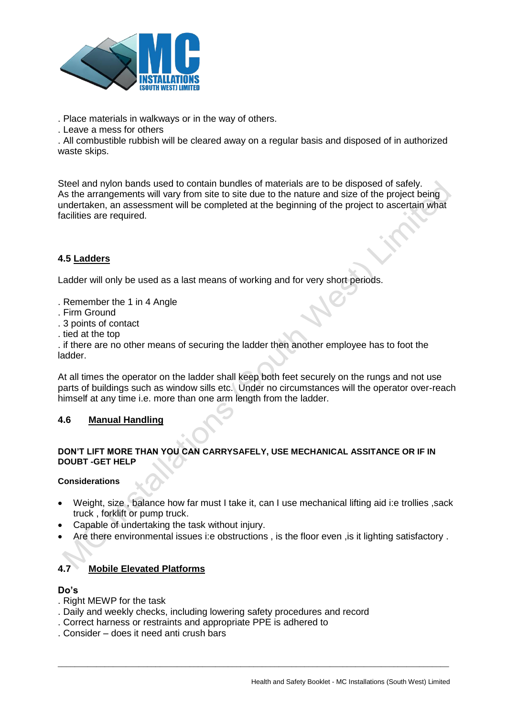

. Place materials in walkways or in the way of others.

. Leave a mess for others

. All combustible rubbish will be cleared away on a regular basis and disposed of in authorized waste skips.

Steel and nylon bands used to contain bundles of materials are to be disposed of safely. As the arrangements will vary from site to site due to the nature and size of the project being undertaken, an assessment will be completed at the beginning of the project to ascertain what facilities are required.

# **4.5 Ladders**

Ladder will only be used as a last means of working and for very short periods.

- . Remember the 1 in 4 Angle
- . Firm Ground
- . 3 points of contact
- . tied at the top

. if there are no other means of securing the ladder then another employee has to foot the ladder.

At all times the operator on the ladder shall keep both feet securely on the rungs and not use parts of buildings such as window sills etc. Under no circumstances will the operator over-reach himself at any time i.e. more than one arm length from the ladder.

### **4.6 Manual Handling**

#### **DON'T LIFT MORE THAN YOU CAN CARRYSAFELY, USE MECHANICAL ASSITANCE OR IF IN DOUBT -GET HELP**

#### **Considerations**

- Weight, size , balance how far must I take it, can I use mechanical lifting aid i:e trollies ,sack truck , forklift or pump truck.
- Capable of undertaking the task without injury.
- Are there environmental issues i:e obstructions , is the floor even ,is it lighting satisfactory .

 $\_$  ,  $\_$  ,  $\_$  ,  $\_$  ,  $\_$  ,  $\_$  ,  $\_$  ,  $\_$  ,  $\_$  ,  $\_$  ,  $\_$  ,  $\_$  ,  $\_$  ,  $\_$  ,  $\_$  ,  $\_$  ,  $\_$  ,  $\_$  ,  $\_$  ,  $\_$  ,  $\_$  ,  $\_$  ,  $\_$  ,  $\_$  ,  $\_$  ,  $\_$  ,  $\_$  ,  $\_$  ,  $\_$  ,  $\_$  ,  $\_$  ,  $\_$  ,  $\_$  ,  $\_$  ,  $\_$  ,  $\_$  ,  $\_$  ,

### **4.7 Mobile Elevated Platforms**

#### **Do's**

- . Right MEWP for the task
- . Daily and weekly checks, including lowering safety procedures and record
- . Correct harness or restraints and appropriate PPE is adhered to
- . Consider does it need anti crush bars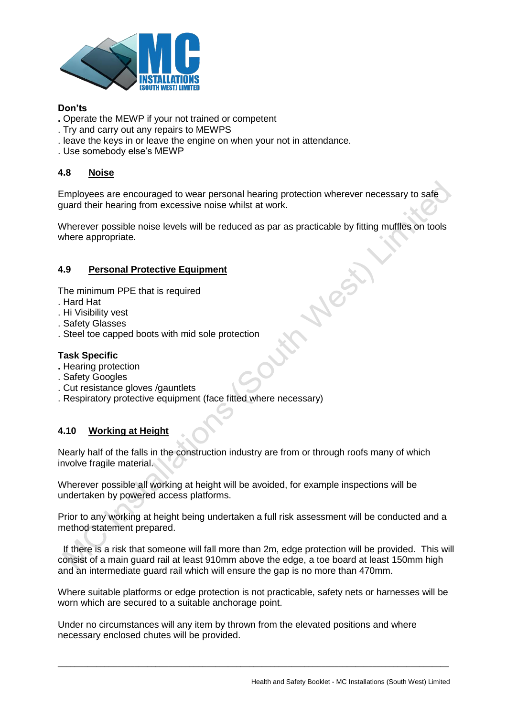

### **Don'ts**

- **.** Operate the MEWP if your not trained or competent
- . Try and carry out any repairs to MEWPS
- . leave the keys in or leave the engine on when your not in attendance.
- . Use somebody else's MEWP

## **4.8 Noise**

Employees are encouraged to wear personal hearing protection wherever necessary to safe guard their hearing from excessive noise whilst at work.

Wherever possible noise levels will be reduced as par as practicable by fitting muffles on tools where appropriate.

## **4.9 Personal Protective Equipment**

The minimum PPE that is required

- . Hard Hat
- . Hi Visibility vest
- . Safety Glasses
- . Steel toe capped boots with mid sole protection

### **Task Specific**

- **.** Hearing protection
- . Safety Googles
- . Cut resistance gloves /gauntlets
- . Respiratory protective equipment (face fitted where necessary)

### **4.10 Working at Height**

Nearly half of the falls in the construction industry are from or through roofs many of which involve fragile material.

Wherever possible all working at height will be avoided, for example inspections will be undertaken by powered access platforms.

Prior to any working at height being undertaken a full risk assessment will be conducted and a method statement prepared.

 If there is a risk that someone will fall more than 2m, edge protection will be provided. This will consist of a main guard rail at least 910mm above the edge, a toe board at least 150mm high and an intermediate guard rail which will ensure the gap is no more than 470mm.

Where suitable platforms or edge protection is not practicable, safety nets or harnesses will be worn which are secured to a suitable anchorage point.

 $\_$  ,  $\_$  ,  $\_$  ,  $\_$  ,  $\_$  ,  $\_$  ,  $\_$  ,  $\_$  ,  $\_$  ,  $\_$  ,  $\_$  ,  $\_$  ,  $\_$  ,  $\_$  ,  $\_$  ,  $\_$  ,  $\_$  ,  $\_$  ,  $\_$  ,  $\_$  ,  $\_$  ,  $\_$  ,  $\_$  ,  $\_$  ,  $\_$  ,  $\_$  ,  $\_$  ,  $\_$  ,  $\_$  ,  $\_$  ,  $\_$  ,  $\_$  ,  $\_$  ,  $\_$  ,  $\_$  ,  $\_$  ,  $\_$  ,

Under no circumstances will any item by thrown from the elevated positions and where necessary enclosed chutes will be provided.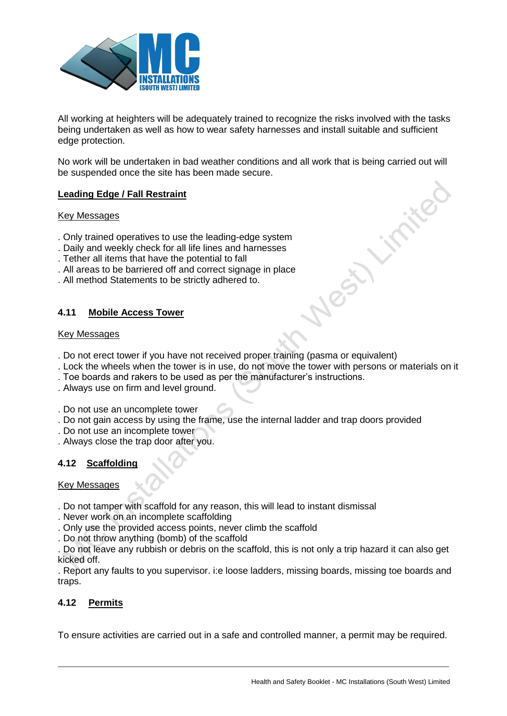

All working at heighters will be adequately trained to recognize the risks involved with the tasks being undertaken as well as how to wear safety harnesses and install suitable and sufficient edge protection.

No work will be undertaken in bad weather conditions and all work that is being carried out will be suspended once the site has been made secure.

### **Leading Edge / Fall Restraint**

#### Key Messages

- . Only trained operatives to use the leading-edge system
- . Daily and weekly check for all life lines and harnesses
- . Tether all items that have the potential to fall
- . All areas to be barriered off and correct signage in place
- . All method Statements to be strictly adhered to.

### **4.11 Mobile Access Tower**

#### Key Messages

- . Do not erect tower if you have not received proper training (pasma or equivalent)
- . Lock the wheels when the tower is in use, do not move the tower with persons or materials on it
- . Toe boards and rakers to be used as per the manufacturer's instructions.
- . Always use on firm and level ground.
- . Do not use an uncomplete tower
- . Do not gain access by using the frame, use the internal ladder and trap doors provided
- . Do not use an incomplete tower
- . Always close the trap door after you.

### **4.12 Scaffolding**

#### Key Messages

- . Do not tamper with scaffold for any reason, this will lead to instant dismissal
- . Never work on an incomplete scaffolding
- . Only use the provided access points, never climb the scaffold
- . Do not throw anything (bomb) of the scaffold

. Do not leave any rubbish or debris on the scaffold, this is not only a trip hazard it can also get kicked off.

. Report any faults to you supervisor. i:e loose ladders, missing boards, missing toe boards and traps.

### **4.12 Permits**

To ensure activities are carried out in a safe and controlled manner, a permit may be required.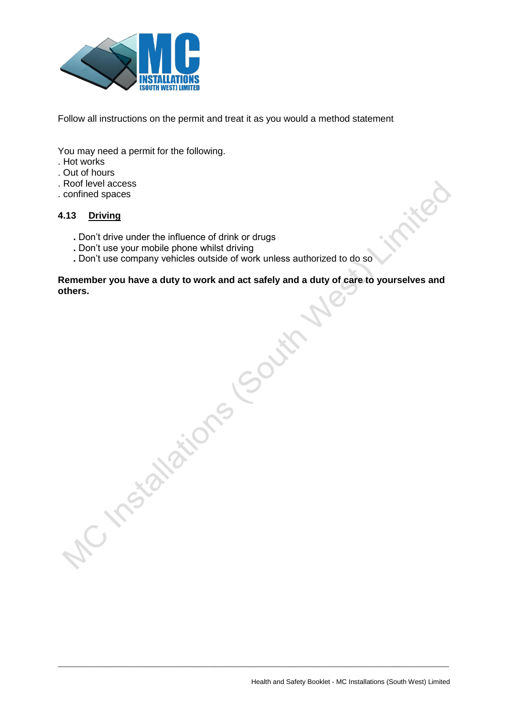

Follow all instructions on the permit and treat it as you would a method statement

You may need a permit for the following.

- . Hot works
- . Out of hours
- . Roof level access
- . confined spaces

## **4.13 Driving**

- **.** Don't drive under the influence of drink or drugs
- **.** Don't use your mobile phone whilst driving
- **.** Don't use company vehicles outside of work unless authorized to do so

**Remember you have a duty to work and act safely and a duty of care to yourselves and**  others.<br>
others.<br>
The incital dignal South